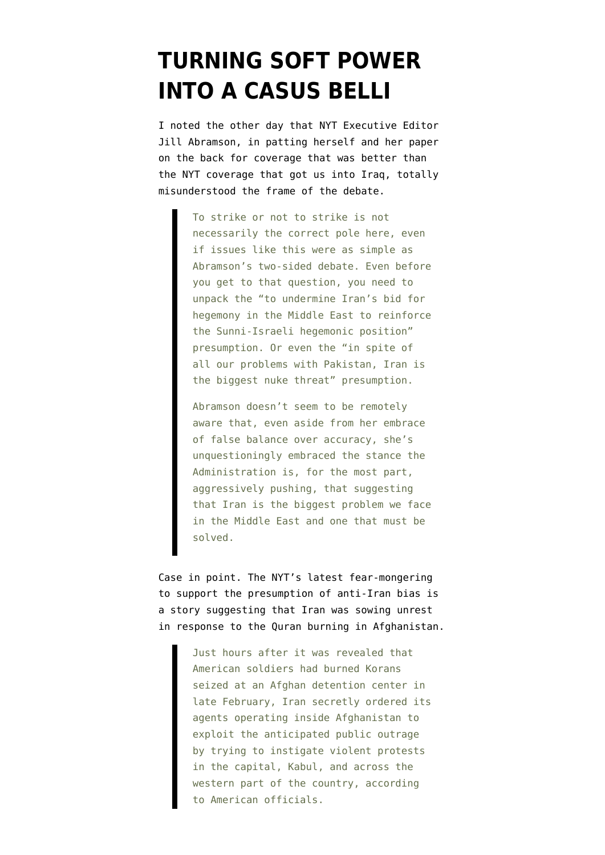## **[TURNING SOFT POWER](https://www.emptywheel.net/2012/04/05/turning-soft-power-into-a-casus-belli/) [INTO A CASUS BELLI](https://www.emptywheel.net/2012/04/05/turning-soft-power-into-a-casus-belli/)**

I [noted the other day](http://www.emptywheel.net/2012/03/26/nyt-impartial-impartial-but-anti-iran/) that NYT Executive Editor Jill Abramson, in patting herself and her paper on the back for coverage that was better than the NYT coverage that got us into Iraq, totally misunderstood the frame of the debate.

> To strike or not to strike is not necessarily the correct pole here, even if issues like this were as simple as Abramson's two-sided debate. Even before you get to that question, you need to unpack the "to undermine Iran's bid for hegemony in the Middle East to reinforce the Sunni-Israeli hegemonic position" presumption. Or even the "in spite of all our problems with Pakistan, Iran is the biggest nuke threat" presumption.

> Abramson doesn't seem to be remotely aware that, even aside from her embrace of false balance over accuracy, she's unquestioningly embraced the stance the Administration is, for the most part, aggressively pushing, that suggesting that Iran is the biggest problem we face in the Middle East and one that must be solved.

[Case in point](http://www.nytimes.com/2012/04/05/world/asia/irans-efforts-to-stir-afghan-violence-provoke-concern.html?nl=todaysheadlines&emc=edit_th_20120405). The NYT's latest fear-mongering to support the presumption of anti-Iran bias is a story suggesting that Iran was sowing unrest in response to the Quran burning in Afghanistan.

> Just hours after it was revealed that American soldiers had burned Korans seized at an Afghan detention center in late February, Iran secretly ordered its agents operating inside Afghanistan to exploit the anticipated public outrage by trying to instigate violent protests in the capital, Kabul, and across the western part of the country, according to American officials.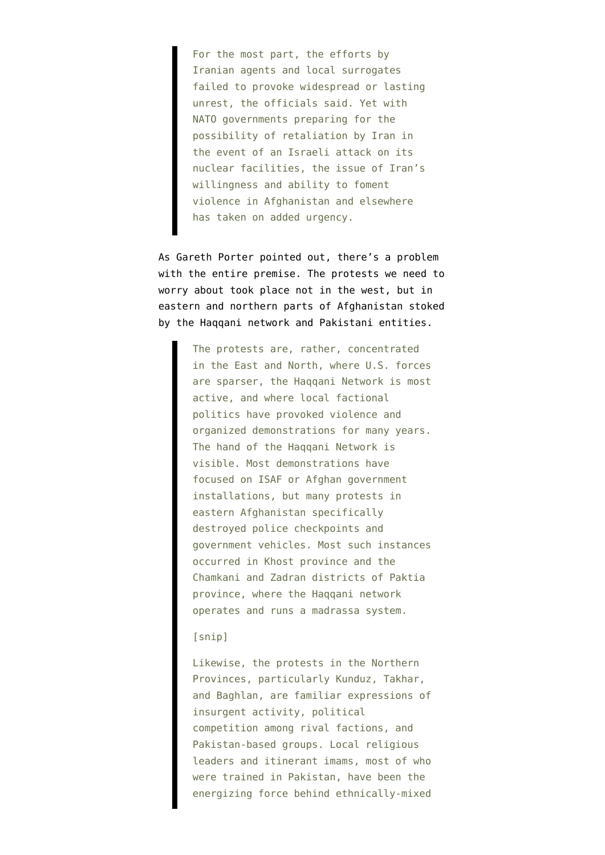For the most part, the efforts by Iranian agents and local surrogates failed to provoke widespread or lasting unrest, the officials said. Yet with NATO governments preparing for the possibility of retaliation by Iran in the event of an Israeli attack on its nuclear facilities, the issue of Iran's willingness and ability to foment violence in Afghanistan and elsewhere has taken on added urgency.

As [Gareth Porter pointed out](https://twitter.com/#!/GarethPorter/status/187900904014479361), there's a problem with the entire premise. The protests we need to worry about took place not in the west, but in eastern and northern parts of Afghanistan stoked by the Haqqani network and Pakistani entities.

> The protests are, rather, concentrated in the East and North, where U.S. forces are sparser, the Haqqani Network is most active, and where local factional politics have provoked violence and organized demonstrations for many years. The hand of the Haqqani Network is visible. Most demonstrations have focused on ISAF or Afghan government installations, but many protests in eastern Afghanistan specifically destroyed police checkpoints and government vehicles. Most such instances occurred in Khost province and the Chamkani and Zadran districts of Paktia province, where the Haqqani network operates and runs a madrassa system.

## [snip]

Likewise, the protests in the Northern Provinces, particularly Kunduz, Takhar, and Baghlan, are familiar expressions of insurgent activity, political competition among rival factions, and Pakistan-based groups. Local religious leaders and itinerant imams, most of who were trained in Pakistan, have been the energizing force behind ethnically-mixed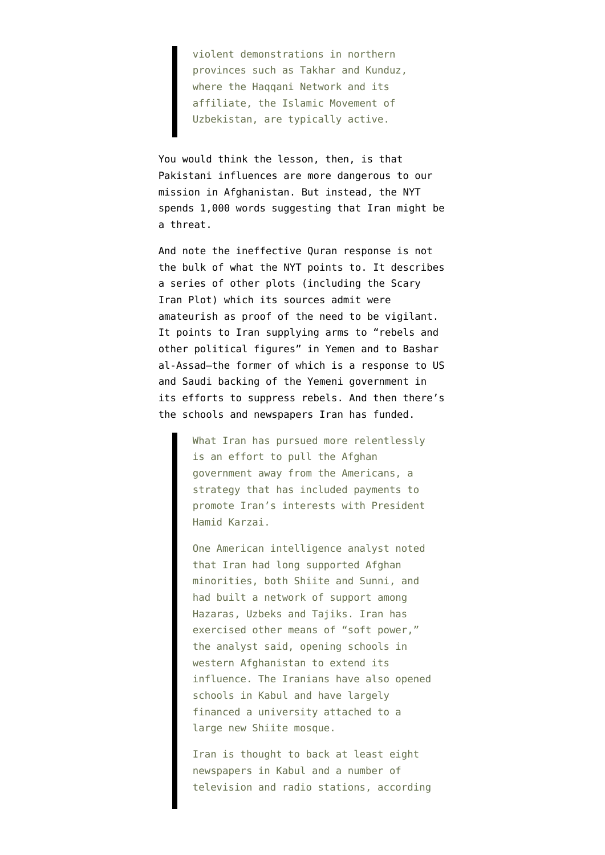violent demonstrations in northern provinces such as Takhar and Kunduz, where the Haqqani Network and its affiliate, the Islamic Movement of Uzbekistan, are typically active.

You would think the lesson, then, is that Pakistani influences are more dangerous to our mission in Afghanistan. But instead, the NYT spends 1,000 words suggesting that Iran might be a threat.

And note the ineffective Quran response is not the bulk of what the NYT points to. It describes a series of other plots (including the Scary Iran Plot) which its sources admit were amateurish as proof of the need to be vigilant. It points to Iran supplying arms to "rebels and other political figures" in Yemen and to Bashar al-Assad–the former of which is a response to US and Saudi backing of the Yemeni government in its efforts to suppress rebels. And then there's the schools and newspapers Iran has funded.

> What Iran has pursued more relentlessly is an effort to pull the Afghan government away from the Americans, a strategy that has included payments to promote Iran's interests with President Hamid Karzai.

One American intelligence analyst noted that Iran had long supported Afghan minorities, both Shiite and Sunni, and had built a network of support among Hazaras, Uzbeks and Tajiks. Iran has exercised other means of "soft power," the analyst said, opening schools in western Afghanistan to extend its influence. The Iranians have also opened schools in Kabul and have largely financed a university attached to a large new Shiite mosque.

Iran is thought to back at least eight newspapers in Kabul and a number of television and radio stations, according